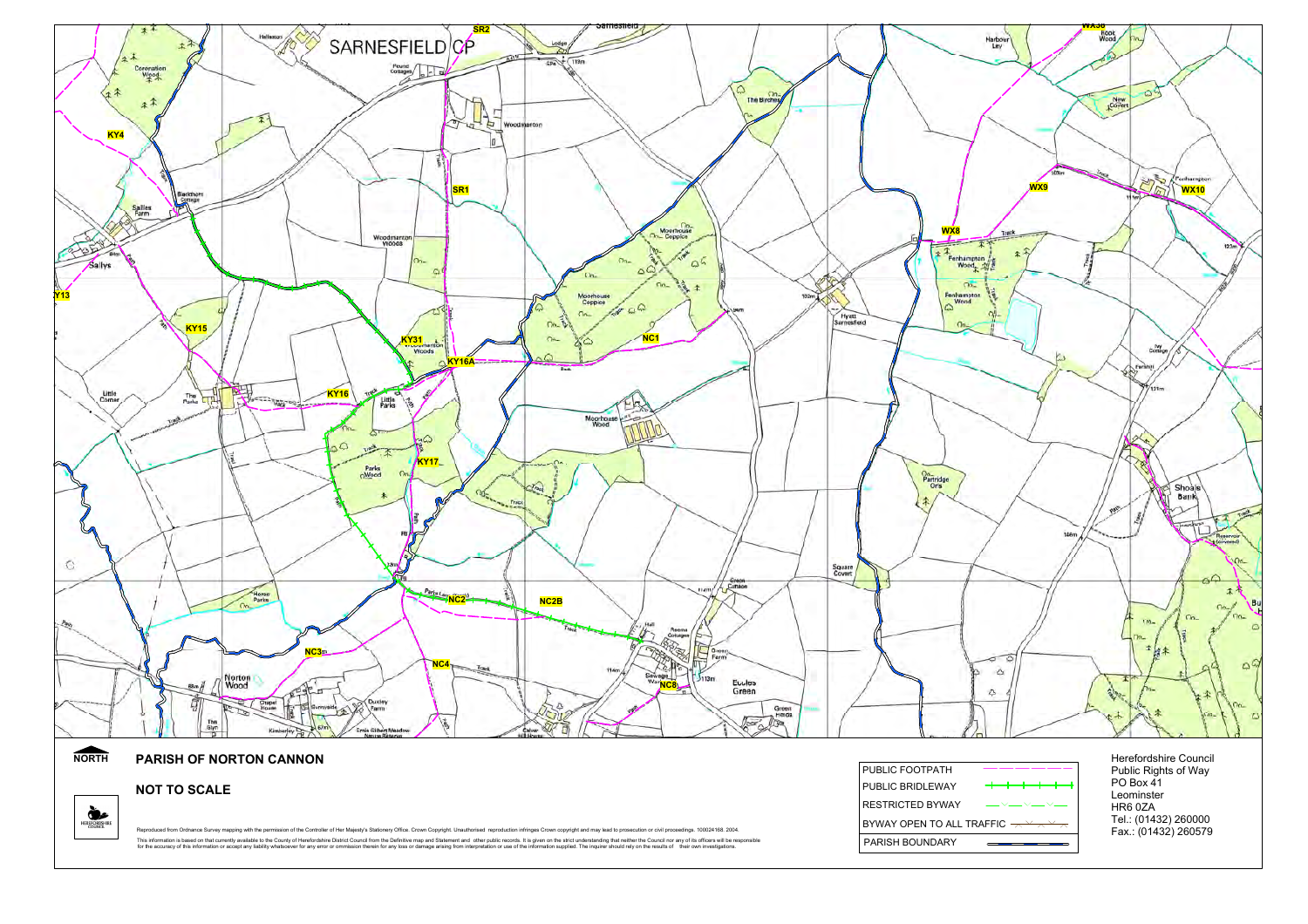

**NOT TO SCALE**

HEREFORDSHIRE

Reproduced from Ordnance Survey mapping with the permission of the Controller of Her Majesty's Stationery Office. Crown Copyright. Unauthorised reproduction infringes Crown copyright and may lead to prosecution or civil pr This information is based on that currenty available to the County of Herefordshire District Council from the Definitive map and Statement and other public records. It is given on the strict understanding that neith or any

| PUBLIC FOOTPATH                                                                                                                                                                                                                                                                                                                                                                                                        |  |  |
|------------------------------------------------------------------------------------------------------------------------------------------------------------------------------------------------------------------------------------------------------------------------------------------------------------------------------------------------------------------------------------------------------------------------|--|--|
| PUBLIC BRIDLEWAY                                                                                                                                                                                                                                                                                                                                                                                                       |  |  |
| $\begin{picture}(20,20) \put(0,0){\dashbox{0.5}(5,0){ }} \put(15,0){\circle{10}} \put(15,0){\circle{10}} \put(15,0){\circle{10}} \put(15,0){\circle{10}} \put(15,0){\circle{10}} \put(15,0){\circle{10}} \put(15,0){\circle{10}} \put(15,0){\circle{10}} \put(15,0){\circle{10}} \put(15,0){\circle{10}} \put(15,0){\circle{10}} \put(15,0){\circle{10}} \put(15,0){\circle{10}} \put(15,0$<br><b>RESTRICTED BYWAY</b> |  |  |
|                                                                                                                                                                                                                                                                                                                                                                                                                        |  |  |
| <b>PARISH BOUNDARY</b>                                                                                                                                                                                                                                                                                                                                                                                                 |  |  |

PO Box 41 Leominster HR6 0ZATel.: (01432) 260000 Fax.: (01432) 260579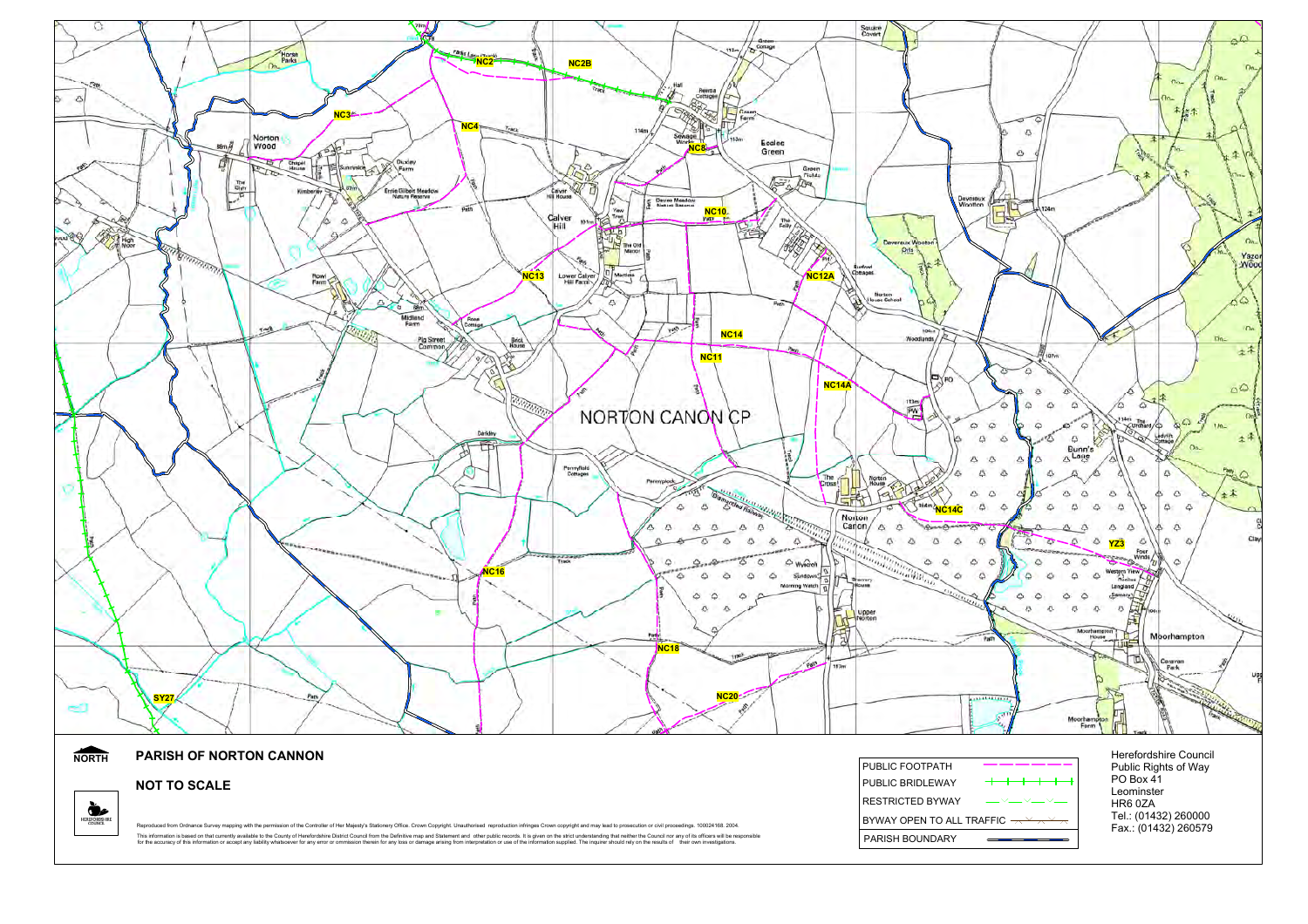

**NOT TO SCALE**

HEREFORDSHIRE

| Reproduced from Ordnance Survey mapping with the permission of the Controller of Her Majesty's Stationery Office. Crown Copyright. Unauthorised reproduction infringes Crown copyright and may lead to prosecution or civil pr |
|--------------------------------------------------------------------------------------------------------------------------------------------------------------------------------------------------------------------------------|
| This information is based on that currently available to the County of Herefordshire District Council from the Definitive map and Statement and other public records. It is given on the strict understanding that neither the |
| for the accuracy of this information or accept any liability whatsoever for any error or ommission therein for any loss or damage arising from interpretation or use of the information supplied. The inquirer should rely on  |

| PUBLIC FOOTPATH                                                                                                                                         |                                                                                                                                                                                                                                                                                                                                                                                             |  |
|---------------------------------------------------------------------------------------------------------------------------------------------------------|---------------------------------------------------------------------------------------------------------------------------------------------------------------------------------------------------------------------------------------------------------------------------------------------------------------------------------------------------------------------------------------------|--|
| PUBLIC BRIDLEWAY                                                                                                                                        | — <del>——————</del>                                                                                                                                                                                                                                                                                                                                                                         |  |
| RESTRICTED BYWAY                                                                                                                                        | $\begin{picture}(20,20) \put(0,0){\dashbox{0.5}(5,0){ }} \put(15,0){\circle{10}} \put(15,0){\circle{10}} \put(15,0){\circle{10}} \put(15,0){\circle{10}} \put(15,0){\circle{10}} \put(15,0){\circle{10}} \put(15,0){\circle{10}} \put(15,0){\circle{10}} \put(15,0){\circle{10}} \put(15,0){\circle{10}} \put(15,0){\circle{10}} \put(15,0){\circle{10}} \put(15,0){\circle{10}} \put(15,0$ |  |
| BYWAY OPEN TO ALL TRAFFIC $\overline{\phantom{m}}\!\!\!\rightarrow$ $\overline{\phantom{m}}\!\!\!\rightarrow$ $\overline{\phantom{m}}\!\!\!\rightarrow$ |                                                                                                                                                                                                                                                                                                                                                                                             |  |
| PARISH BOUNDARY                                                                                                                                         |                                                                                                                                                                                                                                                                                                                                                                                             |  |

Public Rights of Way<br>PO Box 41 Leominster HR6 0ZA Tel.: (01432) 260000 Fax.: (01432) 260579